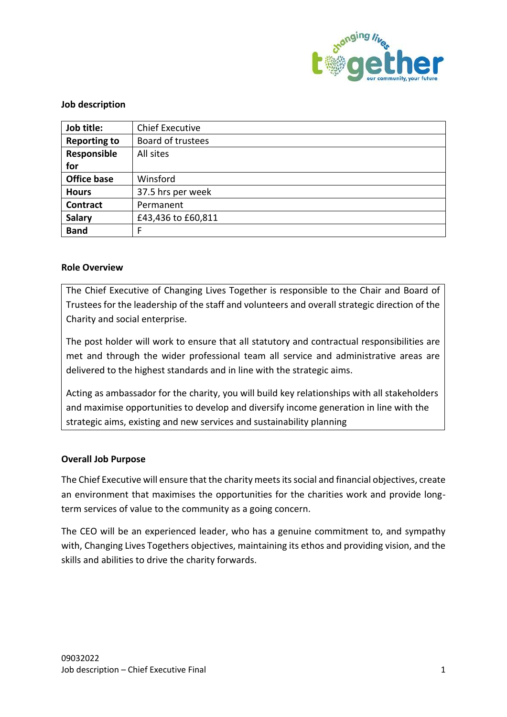

## **Job description**

| Job title:          | <b>Chief Executive</b> |
|---------------------|------------------------|
| <b>Reporting to</b> | Board of trustees      |
| Responsible         | All sites              |
| for                 |                        |
| <b>Office base</b>  | Winsford               |
| <b>Hours</b>        | 37.5 hrs per week      |
| <b>Contract</b>     | Permanent              |
| <b>Salary</b>       | £43,436 to £60,811     |
| <b>Band</b>         | F                      |

# **Role Overview**

The Chief Executive of Changing Lives Together is responsible to the Chair and Board of Trustees for the leadership of the staff and volunteers and overall strategic direction of the Charity and social enterprise.

The post holder will work to ensure that all statutory and contractual responsibilities are met and through the wider professional team all service and administrative areas are delivered to the highest standards and in line with the strategic aims.

Acting as ambassador for the charity, you will build key relationships with all stakeholders and maximise opportunities to develop and diversify income generation in line with the strategic aims, existing and new services and sustainability planning

### **Overall Job Purpose**

The Chief Executive will ensure that the charity meets its social and financial objectives, create an environment that maximises the opportunities for the charities work and provide longterm services of value to the community as a going concern.

The CEO will be an experienced leader, who has a genuine commitment to, and sympathy with, Changing Lives Togethers objectives, maintaining its ethos and providing vision, and the skills and abilities to drive the charity forwards.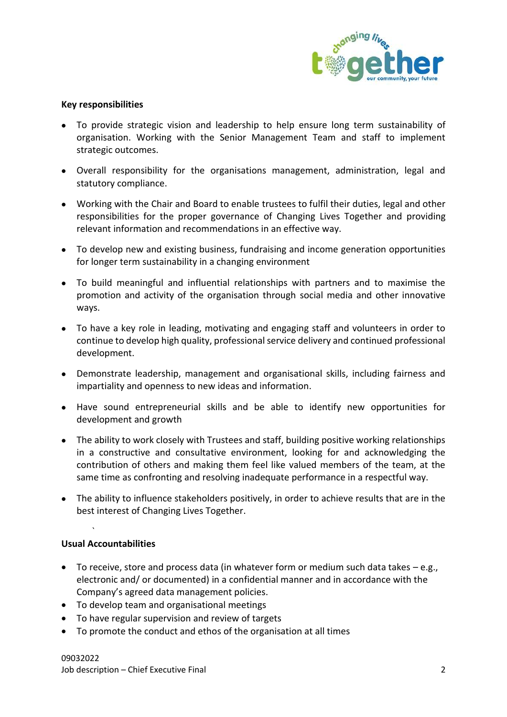

### **Key responsibilities**

- To provide strategic vision and leadership to help ensure long term sustainability of organisation. Working with the Senior Management Team and staff to implement strategic outcomes.
- Overall responsibility for the organisations management, administration, legal and statutory compliance.
- Working with the Chair and Board to enable trustees to fulfil their duties, legal and other responsibilities for the proper governance of Changing Lives Together and providing relevant information and recommendations in an effective way.
- To develop new and existing business, fundraising and income generation opportunities for longer term sustainability in a changing environment
- To build meaningful and influential relationships with partners and to maximise the promotion and activity of the organisation through social media and other innovative ways.
- To have a key role in leading, motivating and engaging staff and volunteers in order to continue to develop high quality, professional service delivery and continued professional development.
- Demonstrate leadership, management and organisational skills, including fairness and impartiality and openness to new ideas and information.
- Have sound entrepreneurial skills and be able to identify new opportunities for development and growth
- The ability to work closely with Trustees and staff, building positive working relationships in a constructive and consultative environment, looking for and acknowledging the contribution of others and making them feel like valued members of the team, at the same time as confronting and resolving inadequate performance in a respectful way.
- The ability to influence stakeholders positively, in order to achieve results that are in the best interest of Changing Lives Together.

### **Usual Accountabilities**

`

- To receive, store and process data (in whatever form or medium such data takes  $-e.g.,$ electronic and/ or documented) in a confidential manner and in accordance with the Company's agreed data management policies.
- To develop team and organisational meetings
- To have regular supervision and review of targets
- To promote the conduct and ethos of the organisation at all times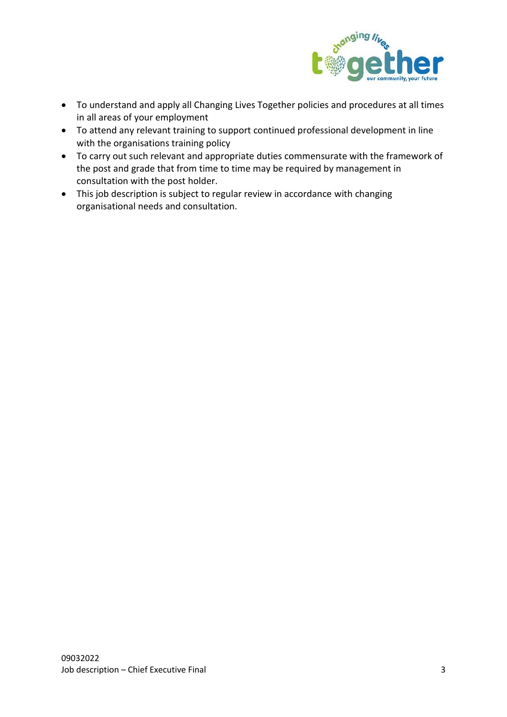

- To understand and apply all Changing Lives Together policies and procedures at all times in all areas of your employment
- To attend any relevant training to support continued professional development in line with the organisations training policy
- To carry out such relevant and appropriate duties commensurate with the framework of the post and grade that from time to time may be required by management in consultation with the post holder.
- This job description is subject to regular review in accordance with changing organisational needs and consultation.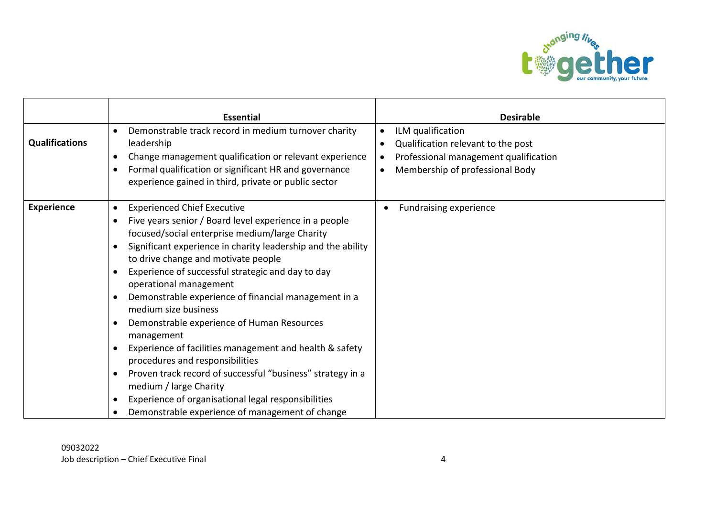

|                       | <b>Essential</b>                                                                                                                                                                                                                                                                                                                                                                                                                                                                                                                                                                                                                                                                                                                                                                                                                                                                                      | <b>Desirable</b>                                                                                                                                                                        |
|-----------------------|-------------------------------------------------------------------------------------------------------------------------------------------------------------------------------------------------------------------------------------------------------------------------------------------------------------------------------------------------------------------------------------------------------------------------------------------------------------------------------------------------------------------------------------------------------------------------------------------------------------------------------------------------------------------------------------------------------------------------------------------------------------------------------------------------------------------------------------------------------------------------------------------------------|-----------------------------------------------------------------------------------------------------------------------------------------------------------------------------------------|
| <b>Qualifications</b> | Demonstrable track record in medium turnover charity<br>$\bullet$<br>leadership<br>Change management qualification or relevant experience<br>$\bullet$<br>Formal qualification or significant HR and governance<br>$\bullet$<br>experience gained in third, private or public sector                                                                                                                                                                                                                                                                                                                                                                                                                                                                                                                                                                                                                  | ILM qualification<br>$\bullet$<br>Qualification relevant to the post<br>$\bullet$<br>Professional management qualification<br>$\bullet$<br>Membership of professional Body<br>$\bullet$ |
| <b>Experience</b>     | <b>Experienced Chief Executive</b><br>$\bullet$<br>Five years senior / Board level experience in a people<br>$\bullet$<br>focused/social enterprise medium/large Charity<br>Significant experience in charity leadership and the ability<br>$\bullet$<br>to drive change and motivate people<br>Experience of successful strategic and day to day<br>$\bullet$<br>operational management<br>Demonstrable experience of financial management in a<br>$\bullet$<br>medium size business<br>Demonstrable experience of Human Resources<br>$\bullet$<br>management<br>Experience of facilities management and health & safety<br>$\bullet$<br>procedures and responsibilities<br>Proven track record of successful "business" strategy in a<br>medium / large Charity<br>Experience of organisational legal responsibilities<br>$\bullet$<br>Demonstrable experience of management of change<br>$\bullet$ | <b>Fundraising experience</b>                                                                                                                                                           |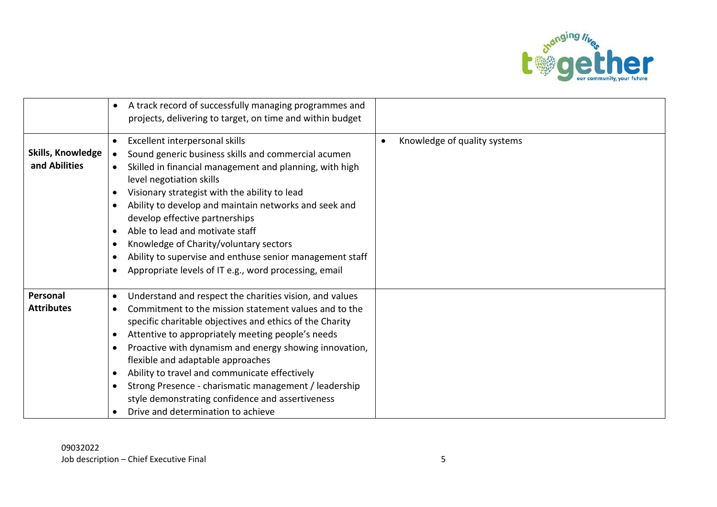

|                   | A track record of successfully managing programmes and<br>$\bullet$   |                                           |
|-------------------|-----------------------------------------------------------------------|-------------------------------------------|
|                   |                                                                       |                                           |
|                   | projects, delivering to target, on time and within budget             |                                           |
|                   | Excellent interpersonal skills<br>$\bullet$                           | Knowledge of quality systems<br>$\bullet$ |
| Skills, Knowledge | Sound generic business skills and commercial acumen<br>$\bullet$      |                                           |
| and Abilities     | Skilled in financial management and planning, with high<br>$\bullet$  |                                           |
|                   | level negotiation skills                                              |                                           |
|                   | Visionary strategist with the ability to lead<br>$\bullet$            |                                           |
|                   | Ability to develop and maintain networks and seek and<br>$\bullet$    |                                           |
|                   | develop effective partnerships                                        |                                           |
|                   | Able to lead and motivate staff<br>$\bullet$                          |                                           |
|                   | Knowledge of Charity/voluntary sectors<br>$\bullet$                   |                                           |
|                   | Ability to supervise and enthuse senior management staff<br>$\bullet$ |                                           |
|                   | Appropriate levels of IT e.g., word processing, email<br>$\bullet$    |                                           |
|                   |                                                                       |                                           |
| Personal          | Understand and respect the charities vision, and values<br>$\bullet$  |                                           |
| <b>Attributes</b> | Commitment to the mission statement values and to the<br>$\bullet$    |                                           |
|                   | specific charitable objectives and ethics of the Charity              |                                           |
|                   | Attentive to appropriately meeting people's needs<br>$\bullet$        |                                           |
|                   | Proactive with dynamism and energy showing innovation,<br>$\bullet$   |                                           |
|                   | flexible and adaptable approaches                                     |                                           |
|                   | Ability to travel and communicate effectively<br>$\bullet$            |                                           |
|                   | Strong Presence - charismatic management / leadership<br>$\bullet$    |                                           |
|                   | style demonstrating confidence and assertiveness                      |                                           |
|                   | Drive and determination to achieve<br>$\bullet$                       |                                           |